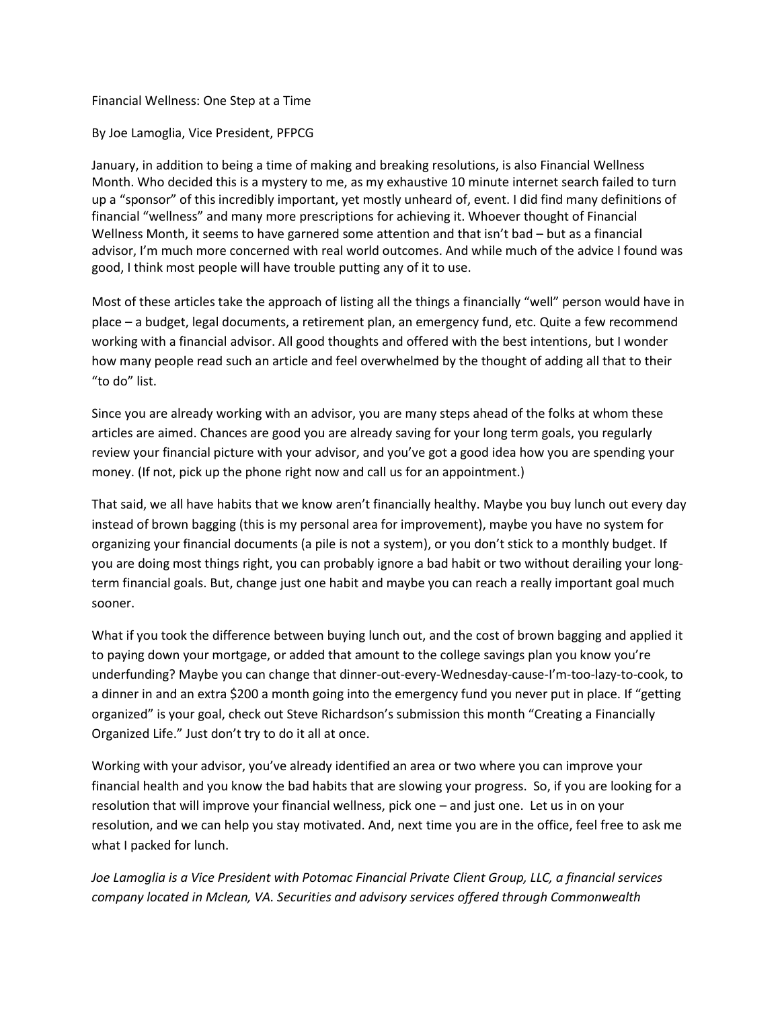## Financial Wellness: One Step at a Time

## By Joe Lamoglia, Vice President, PFPCG

January, in addition to being a time of making and breaking resolutions, is also Financial Wellness Month. Who decided this is a mystery to me, as my exhaustive 10 minute internet search failed to turn up a "sponsor" of this incredibly important, yet mostly unheard of, event. I did find many definitions of financial "wellness" and many more prescriptions for achieving it. Whoever thought of Financial Wellness Month, it seems to have garnered some attention and that isn't bad – but as a financial advisor, I'm much more concerned with real world outcomes. And while much of the advice I found was good, I think most people will have trouble putting any of it to use.

Most of these articles take the approach of listing all the things a financially "well" person would have in place – a budget, legal documents, a retirement plan, an emergency fund, etc. Quite a few recommend working with a financial advisor. All good thoughts and offered with the best intentions, but I wonder how many people read such an article and feel overwhelmed by the thought of adding all that to their "to do" list.

Since you are already working with an advisor, you are many steps ahead of the folks at whom these articles are aimed. Chances are good you are already saving for your long term goals, you regularly review your financial picture with your advisor, and you've got a good idea how you are spending your money. (If not, pick up the phone right now and call us for an appointment.)

That said, we all have habits that we know aren't financially healthy. Maybe you buy lunch out every day instead of brown bagging (this is my personal area for improvement), maybe you have no system for organizing your financial documents (a pile is not a system), or you don't stick to a monthly budget. If you are doing most things right, you can probably ignore a bad habit or two without derailing your longterm financial goals. But, change just one habit and maybe you can reach a really important goal much sooner.

What if you took the difference between buying lunch out, and the cost of brown bagging and applied it to paying down your mortgage, or added that amount to the college savings plan you know you're underfunding? Maybe you can change that dinner-out-every-Wednesday-cause-I'm-too-lazy-to-cook, to a dinner in and an extra \$200 a month going into the emergency fund you never put in place. If "getting organized" is your goal, check out Steve Richardson's submission this month "Creating a Financially Organized Life." Just don't try to do it all at once.

Working with your advisor, you've already identified an area or two where you can improve your financial health and you know the bad habits that are slowing your progress. So, if you are looking for a resolution that will improve your financial wellness, pick one – and just one. Let us in on your resolution, and we can help you stay motivated. And, next time you are in the office, feel free to ask me what I packed for lunch.

*Joe Lamoglia is a Vice President with Potomac Financial Private Client Group, LLC, a financial services company located in Mclean, VA. Securities and advisory services offered through Commonwealth*